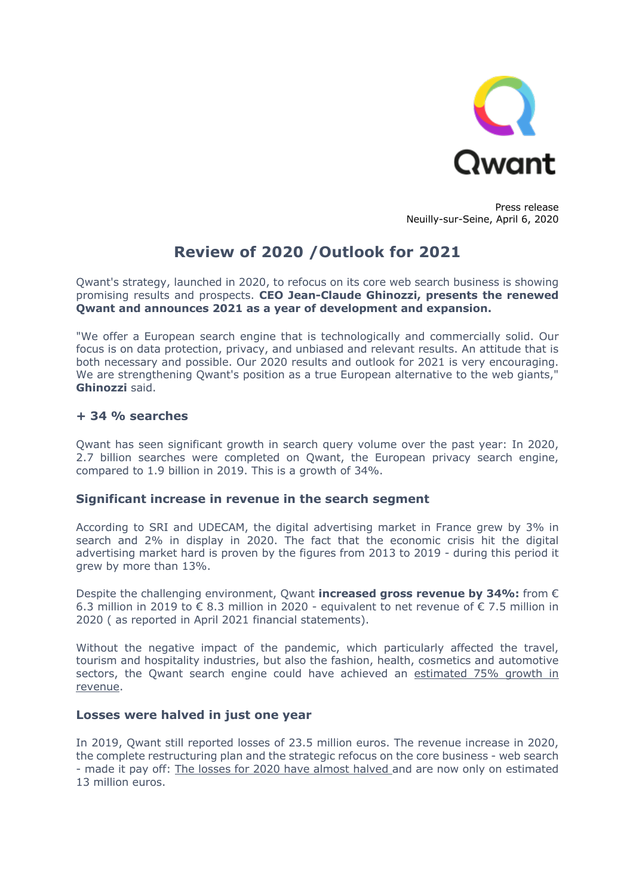

Press release Neuilly-sur-Seine, April 6, 2020

# **Review of 2020 /Outlook for 2021**

Qwant's strategy, launched in 2020, to refocus on its core web search business is showing promising results and prospects. **CEO Jean-Claude Ghinozzi, presents the renewed Qwant and announces 2021 as a year of development and expansion.**

"We offer a European search engine that is technologically and commercially solid. Our focus is on data protection, privacy, and unbiased and relevant results. An attitude that is both necessary and possible. Our 2020 results and outlook for 2021 is very encouraging. We are strengthening Qwant's position as a true European alternative to the web giants," **Ghinozzi** said.

# **+ 34 % searches**

Qwant has seen significant growth in search query volume over the past year: In 2020, 2.7 billion searches were completed on Qwant, the European privacy search engine, compared to 1.9 billion in 2019. This is a growth of 34%.

#### **Significant increase in revenue in the search segment**

According to SRI and UDECAM, the digital advertising market in France grew by 3% in search and 2% in display in 2020. The fact that the economic crisis hit the digital advertising market hard is proven by the figures from 2013 to 2019 - during this period it grew by more than 13%.

Despite the challenging environment, Qwant **increased gross revenue by 34%:** from € 6.3 million in 2019 to  $\epsilon$  8.3 million in 2020 - equivalent to net revenue of  $\epsilon$  7.5 million in 2020 ( as reported in April 2021 financial statements).

Without the negative impact of the pandemic, which particularly affected the travel, tourism and hospitality industries, but also the fashion, health, cosmetics and automotive sectors, the Qwant search engine could have achieved an estimated 75% growth in revenue.

## **Losses were halved in just one year**

In 2019, Qwant still reported losses of 23.5 million euros. The revenue increase in 2020, the complete restructuring plan and the strategic refocus on the core business - web search - made it pay off: The losses for 2020 have almost halved and are now only on estimated 13 million euros.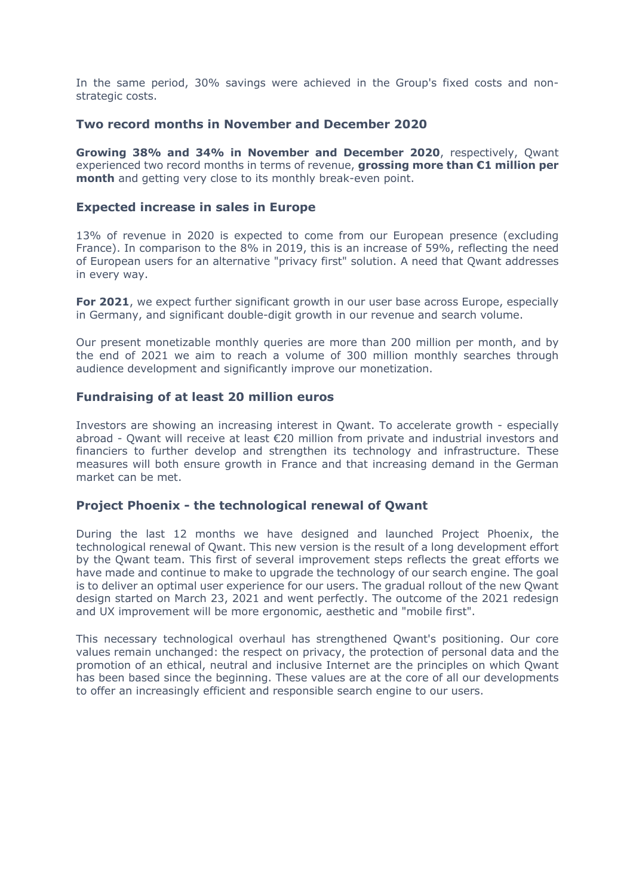In the same period, 30% savings were achieved in the Group's fixed costs and nonstrategic costs.

## **Two record months in November and December 2020**

**Growing 38% and 34% in November and December 2020**, respectively, Qwant experienced two record months in terms of revenue, **grossing more than €1 million per month** and getting very close to its monthly break-even point.

#### **Expected increase in sales in Europe**

13% of revenue in 2020 is expected to come from our European presence (excluding France). In comparison to the 8% in 2019, this is an increase of 59%, reflecting the need of European users for an alternative "privacy first" solution. A need that Qwant addresses in every way.

**For 2021**, we expect further significant growth in our user base across Europe, especially in Germany, and significant double-digit growth in our revenue and search volume.

Our present monetizable monthly queries are more than 200 million per month, and by the end of 2021 we aim to reach a volume of 300 million monthly searches through audience development and significantly improve our monetization.

#### **Fundraising of at least 20 million euros**

Investors are showing an increasing interest in Qwant. To accelerate growth - especially abroad - Qwant will receive at least €20 million from private and industrial investors and financiers to further develop and strengthen its technology and infrastructure. These measures will both ensure growth in France and that increasing demand in the German market can be met.

# **Project Phoenix - the technological renewal of Qwant**

During the last 12 months we have designed and launched Project Phoenix, the technological renewal of Qwant. This new version is the result of a long development effort by the Qwant team. This first of several improvement steps reflects the great efforts we have made and continue to make to upgrade the technology of our search engine. The goal is to deliver an optimal user experience for our users. The gradual rollout of the new Qwant design started on March 23, 2021 and went perfectly. The outcome of the 2021 redesign and UX improvement will be more ergonomic, aesthetic and "mobile first".

This necessary technological overhaul has strengthened Qwant's positioning. Our core values remain unchanged: the respect on privacy, the protection of personal data and the promotion of an ethical, neutral and inclusive Internet are the principles on which Qwant has been based since the beginning. These values are at the core of all our developments to offer an increasingly efficient and responsible search engine to our users.